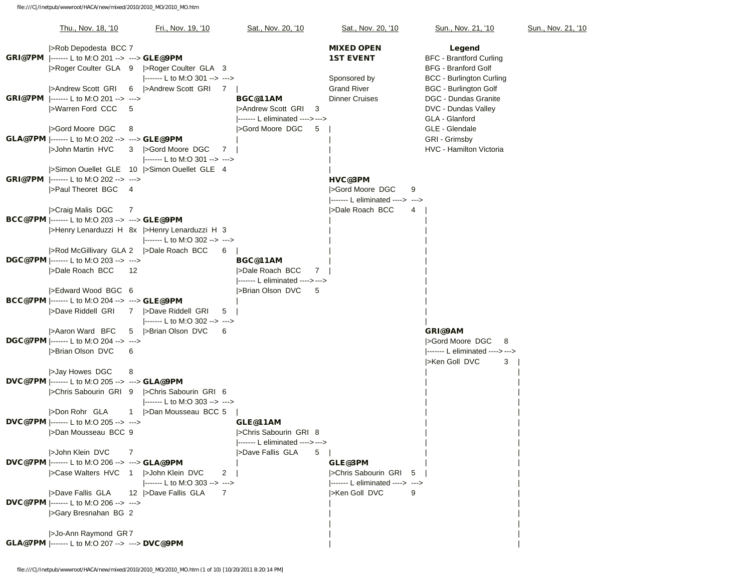|  | Thu., Nov. 18, '10                                                                | Fri., Nov. 19, '10                                                               | Sat., Nov. 20, '10              | Sat., Nov. 20, '10              | Sun., Nov. 21, '10              | Sun., Nov. 21, '10 |
|--|-----------------------------------------------------------------------------------|----------------------------------------------------------------------------------|---------------------------------|---------------------------------|---------------------------------|--------------------|
|  | >Rob Depodesta BCC 7                                                              |                                                                                  |                                 | <b>MIXED OPEN</b>               | Legend                          |                    |
|  | <b>GRI@7PM</b>  ------- L to M:O 201 --> ---> <b>GLE@9PM</b>                      |                                                                                  |                                 | <b>1ST EVENT</b>                | <b>BFC - Brantford Curling</b>  |                    |
|  |                                                                                   | >Roger Coulter GLA 9 >Roger Coulter GLA 3                                        |                                 |                                 | <b>BFG</b> - Branford Golf      |                    |
|  |                                                                                   | ------- L to M:O 301 --> --->                                                    |                                 | Sponsored by                    | <b>BCC - Burlington Curling</b> |                    |
|  | >Andrew Scott GRI                                                                 | >Andrew Scott GRI 7<br>6                                                         |                                 | <b>Grand River</b>              | <b>BGC - Burlington Golf</b>    |                    |
|  | <b>GRI@7PM</b> ------- L to M:O 201 --> --->                                      |                                                                                  | BGC@11AM                        | <b>Dinner Cruises</b>           | DGC - Dundas Granite            |                    |
|  | >Warren Ford CCC                                                                  | 5                                                                                | >Andrew Scott GRI<br>-3         |                                 | DVC - Dundas Valley             |                    |
|  |                                                                                   |                                                                                  | ------- L eliminated ----> ---> |                                 | GLA - Glanford                  |                    |
|  | SGord Moore DGC                                                                   | 8                                                                                | SGord Moore DGC<br>5            |                                 | GLE - Glendale                  |                    |
|  | GLA@7PM  ------- L to M:O 202 --> ---> GLE@9PM                                    |                                                                                  |                                 |                                 | GRI - Grimsby                   |                    |
|  | >John Martin HVC                                                                  | >Gord Moore DGC<br>3<br>7                                                        |                                 |                                 | HVC - Hamilton Victoria         |                    |
|  |                                                                                   | ------- L to M:O 301 --> --->                                                    |                                 |                                 |                                 |                    |
|  |                                                                                   | Simon Ouellet GLE 10  >Simon Ouellet GLE 4                                       |                                 |                                 |                                 |                    |
|  | <b>GRI@7PM</b> ------- L to M:O 202 --> --->                                      |                                                                                  |                                 | HVC@3PM                         |                                 |                    |
|  | >Paul Theoret BGC                                                                 | - 4                                                                              |                                 | SGord Moore DGC<br>9            |                                 |                    |
|  |                                                                                   |                                                                                  |                                 | ------- L eliminated ----> ---> |                                 |                    |
|  | >Craig Malis DGC                                                                  | 7                                                                                |                                 | >Dale Roach BCC<br>4            |                                 |                    |
|  | <b>BCC@7PM</b>  ------- L to M:O 203 --> ---> GLE@9PM                             | >Henry Lenarduzzi H 8x >Henry Lenarduzzi H 3                                     |                                 |                                 |                                 |                    |
|  |                                                                                   | $\left  \dots \right $ L to M:O 302 --> --->                                     |                                 |                                 |                                 |                    |
|  |                                                                                   | >Rod McGillivary GLA 2 >>Dale Roach BCC<br>6                                     |                                 |                                 |                                 |                    |
|  | <b>DGC@7PM</b> $ $ ------- L to M:O 203 --> --->                                  |                                                                                  | BGC@11AM                        |                                 |                                 |                    |
|  | >Dale Roach BCC                                                                   | 12                                                                               | >Dale Roach BCC<br>$7^{\circ}$  |                                 |                                 |                    |
|  |                                                                                   |                                                                                  | ------- L eliminated ----> ---> |                                 |                                 |                    |
|  | SEdward Wood BGC 6                                                                |                                                                                  | >Brian Olson DVC<br>5           |                                 |                                 |                    |
|  | BCC@7PM  ------- L to M:O 204 --> ---> GLE@9PM                                    |                                                                                  |                                 |                                 |                                 |                    |
|  | >Dave Riddell GRI                                                                 | 7  >Dave Riddell GRI<br>5                                                        |                                 |                                 |                                 |                    |
|  |                                                                                   | $\left  \cdots \right $ L to M:O 302 --> --->                                    |                                 |                                 |                                 |                    |
|  | >Aaron Ward BFC                                                                   | 5  >Brian Olson DVC<br>6                                                         |                                 |                                 | GRI@9AM                         |                    |
|  | <b>DGC@7PM</b>  ------- L to M:O 204 --> --->                                     |                                                                                  |                                 |                                 | SGord Moore DGC<br>8            |                    |
|  | >Brian Olson DVC                                                                  | 6                                                                                |                                 |                                 | ------- L eliminated ----> ---> |                    |
|  |                                                                                   |                                                                                  |                                 |                                 | >Ken Goll DVC<br>3              |                    |
|  | >Jay Howes DGC                                                                    | 8                                                                                |                                 |                                 |                                 |                    |
|  | DVC@7PM  ------- L to M:O 205 --> ---> GLA@9PM                                    |                                                                                  |                                 |                                 |                                 |                    |
|  |                                                                                   | SChris Sabourin GRI 9   > Chris Sabourin GRI 6<br> ------- L to M:O 303 --> ---> |                                 |                                 |                                 |                    |
|  | >Don Rohr GLA                                                                     | 1  >Dan Mousseau BCC 5                                                           |                                 |                                 |                                 |                    |
|  | <b>DVC@7PM</b> $\left  \cdots \right $ L to M:O 205 --> --->                      |                                                                                  | GLE@11AM                        |                                 |                                 |                    |
|  | >Dan Mousseau BCC 9                                                               |                                                                                  | SChris Sabourin GRI 8           |                                 |                                 |                    |
|  |                                                                                   |                                                                                  |                                 |                                 |                                 |                    |
|  | >John Klein DVC                                                                   | 7                                                                                | >Dave Fallis GLA<br>5           |                                 |                                 |                    |
|  | <b>DVC@7PM</b> $\left  \dots \right $ L to M:O 206 $\rightarrow \cdots$ > GLA@9PM |                                                                                  |                                 | GLE@3PM                         |                                 |                    |
|  |                                                                                   | SCase Walters HVC 1  >John Klein DVC<br>2                                        |                                 | >Chris Sabourin GRI<br>5        |                                 |                    |
|  |                                                                                   | $\left  \cdots \right $ L to M:O 303 --> --->                                    |                                 | ------- L eliminated ----> ---> |                                 |                    |
|  | >Dave Fallis GLA                                                                  | 12   > Dave Fallis GLA<br>$\overline{7}$                                         |                                 | >Ken Goll DVC<br>9              |                                 |                    |
|  | DVC@7PM  ------- L to M:O 206 --> --->                                            |                                                                                  |                                 |                                 |                                 |                    |
|  | SGary Bresnahan BG 2                                                              |                                                                                  |                                 |                                 |                                 |                    |
|  |                                                                                   |                                                                                  |                                 |                                 |                                 |                    |
|  | >Jo-Ann Raymond GR7                                                               |                                                                                  |                                 |                                 |                                 |                    |
|  | <b>GLA@7PM</b> ------- L to M:O 207 --> ---> DVC@9PM                              |                                                                                  |                                 |                                 |                                 |                    |